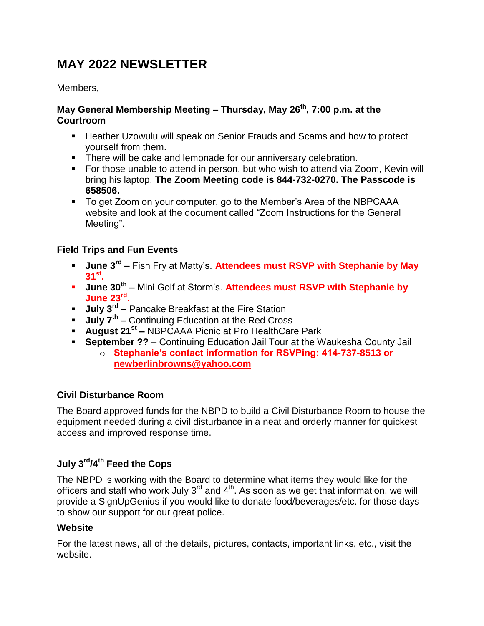# **MAY 2022 NEWSLETTER**

Members,

#### **May General Membership Meeting – Thursday, May 26th, 7:00 p.m. at the Courtroom**

- Heather Uzowulu will speak on Senior Frauds and Scams and how to protect yourself from them.
- **There will be cake and lemonade for our anniversary celebration.**
- For those unable to attend in person, but who wish to attend via Zoom, Kevin will bring his laptop. **The Zoom Meeting code is 844-732-0270. The Passcode is 658506.**
- To get Zoom on your computer, go to the Member's Area of the NBPCAAA website and look at the document called "Zoom Instructions for the General Meeting".

### **Field Trips and Fun Events**

- **June 3<sup>rd</sup> Fish Fry at Matty's. Attendees must RSVP with Stephanie by May 31st .**
- **June 30<sup>th</sup> –** Mini Golf at Storm's. Attendees must RSVP with Stephanie by **June 23rd .**
- **July 3rd –** Pancake Breakfast at the Fire Station
- **July 7th –** Continuing Education at the Red Cross
- **August 21st –** NBPCAAA Picnic at Pro HealthCare Park
- **September ??** Continuing Education Jail Tour at the Waukesha County Jail
	- o **Stephanie's contact information for RSVPing: 414-737-8513 or [newberlinbrowns@yahoo.com](mailto:newberlinbrowns@yahoo.com)**

### **Civil Disturbance Room**

The Board approved funds for the NBPD to build a Civil Disturbance Room to house the equipment needed during a civil disturbance in a neat and orderly manner for quickest access and improved response time.

## **July 3rd/4th Feed the Cops**

The NBPD is working with the Board to determine what items they would like for the officers and staff who work July  $3<sup>rd</sup>$  and  $4<sup>th</sup>$ . As soon as we get that information, we will provide a SignUpGenius if you would like to donate food/beverages/etc. for those days to show our support for our great police.

#### **Website**

For the latest news, all of the details, pictures, contacts, important links, etc., visit the website.